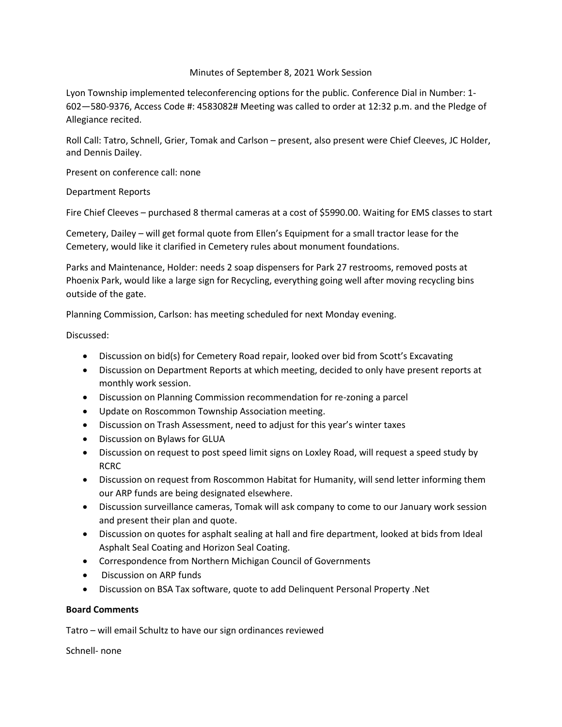## Minutes of September 8, 2021 Work Session

Lyon Township implemented teleconferencing options for the public. Conference Dial in Number: 1- 602—580-9376, Access Code #: 4583082# Meeting was called to order at 12:32 p.m. and the Pledge of Allegiance recited.

Roll Call: Tatro, Schnell, Grier, Tomak and Carlson – present, also present were Chief Cleeves, JC Holder, and Dennis Dailey.

Present on conference call: none

Department Reports

Fire Chief Cleeves – purchased 8 thermal cameras at a cost of \$5990.00. Waiting for EMS classes to start

Cemetery, Dailey – will get formal quote from Ellen's Equipment for a small tractor lease for the Cemetery, would like it clarified in Cemetery rules about monument foundations.

Parks and Maintenance, Holder: needs 2 soap dispensers for Park 27 restrooms, removed posts at Phoenix Park, would like a large sign for Recycling, everything going well after moving recycling bins outside of the gate.

Planning Commission, Carlson: has meeting scheduled for next Monday evening.

Discussed:

- Discussion on bid(s) for Cemetery Road repair, looked over bid from Scott's Excavating
- Discussion on Department Reports at which meeting, decided to only have present reports at monthly work session.
- Discussion on Planning Commission recommendation for re-zoning a parcel
- Update on Roscommon Township Association meeting.
- Discussion on Trash Assessment, need to adjust for this year's winter taxes
- Discussion on Bylaws for GLUA
- Discussion on request to post speed limit signs on Loxley Road, will request a speed study by RCRC
- Discussion on request from Roscommon Habitat for Humanity, will send letter informing them our ARP funds are being designated elsewhere.
- Discussion surveillance cameras, Tomak will ask company to come to our January work session and present their plan and quote.
- Discussion on quotes for asphalt sealing at hall and fire department, looked at bids from Ideal Asphalt Seal Coating and Horizon Seal Coating.
- Correspondence from Northern Michigan Council of Governments
- Discussion on ARP funds
- Discussion on BSA Tax software, quote to add Delinquent Personal Property .Net

## **Board Comments**

Tatro – will email Schultz to have our sign ordinances reviewed

Schnell- none